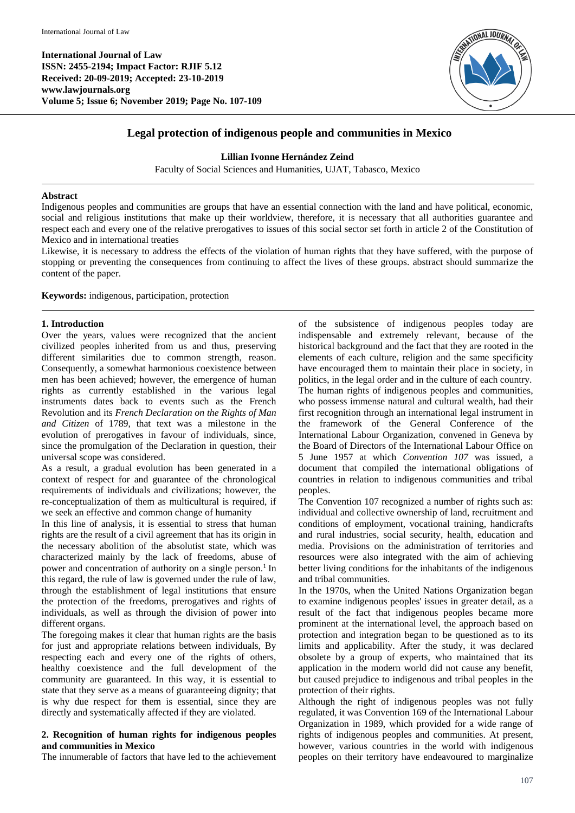**International Journal of Law ISSN: 2455-2194; Impact Factor: RJIF 5.12 Received: 20-09-2019; Accepted: 23-10-2019 www.lawjournals.org Volume 5; Issue 6; November 2019; Page No. 107-109**



# **Legal protection of indigenous people and communities in Mexico**

#### **Lillian Ivonne Hernández Zeind**

Faculty of Social Sciences and Humanities, UJAT, Tabasco, Mexico

#### **Abstract**

Indigenous peoples and communities are groups that have an essential connection with the land and have political, economic, social and religious institutions that make up their worldview, therefore, it is necessary that all authorities guarantee and respect each and every one of the relative prerogatives to issues of this social sector set forth in article 2 of the Constitution of Mexico and in international treaties

Likewise, it is necessary to address the effects of the violation of human rights that they have suffered, with the purpose of stopping or preventing the consequences from continuing to affect the lives of these groups. abstract should summarize the content of the paper.

**Keywords:** indigenous, participation, protection

### **1. Introduction**

Over the years, values were recognized that the ancient civilized peoples inherited from us and thus, preserving different similarities due to common strength, reason. Consequently, a somewhat harmonious coexistence between men has been achieved; however, the emergence of human rights as currently established in the various legal instruments dates back to events such as the French Revolution and its *French Declaration on the Rights of Man and Citizen* of 1789, that text was a milestone in the evolution of prerogatives in favour of individuals, since, since the promulgation of the Declaration in question, their universal scope was considered.

As a result, a gradual evolution has been generated in a context of respect for and guarantee of the chronological requirements of individuals and civilizations; however, the re-conceptualization of them as multicultural is required, if we seek an effective and common change of humanity

In this line of analysis, it is essential to stress that human rights are the result of a civil agreement that has its origin in the necessary abolition of the absolutist state, which was characterized mainly by the lack of freedoms, abuse of power and concentration of authority on a single person.<sup>1</sup> In this regard, the rule of law is governed under the rule of law, through the establishment of legal institutions that ensure the protection of the freedoms, prerogatives and rights of individuals, as well as through the division of power into different organs.

The foregoing makes it clear that human rights are the basis for just and appropriate relations between individuals, By respecting each and every one of the rights of others, healthy coexistence and the full development of the community are guaranteed. In this way, it is essential to state that they serve as a means of guaranteeing dignity; that is why due respect for them is essential, since they are directly and systematically affected if they are violated.

## **2. Recognition of human rights for indigenous peoples and communities in Mexico**

The innumerable of factors that have led to the achievement

of the subsistence of indigenous peoples today are indispensable and extremely relevant, because of the historical background and the fact that they are rooted in the elements of each culture, religion and the same specificity have encouraged them to maintain their place in society, in politics, in the legal order and in the culture of each country. The human rights of indigenous peoples and communities, who possess immense natural and cultural wealth, had their first recognition through an international legal instrument in the framework of the General Conference of the International Labour Organization, convened in Geneva by the Board of Directors of the International Labour Office on 5 June 1957 at which *Convention 107* was issued, a document that compiled the international obligations of countries in relation to indigenous communities and tribal peoples.

The Convention 107 recognized a number of rights such as: individual and collective ownership of land, recruitment and conditions of employment, vocational training, handicrafts and rural industries, social security, health, education and media. Provisions on the administration of territories and resources were also integrated with the aim of achieving better living conditions for the inhabitants of the indigenous and tribal communities.

In the 1970s, when the United Nations Organization began to examine indigenous peoples' issues in greater detail, as a result of the fact that indigenous peoples became more prominent at the international level, the approach based on protection and integration began to be questioned as to its limits and applicability. After the study, it was declared obsolete by a group of experts, who maintained that its application in the modern world did not cause any benefit, but caused prejudice to indigenous and tribal peoples in the protection of their rights.

Although the right of indigenous peoples was not fully regulated, it was Convention 169 of the International Labour Organization in 1989, which provided for a wide range of rights of indigenous peoples and communities. At present, however, various countries in the world with indigenous peoples on their territory have endeavoured to marginalize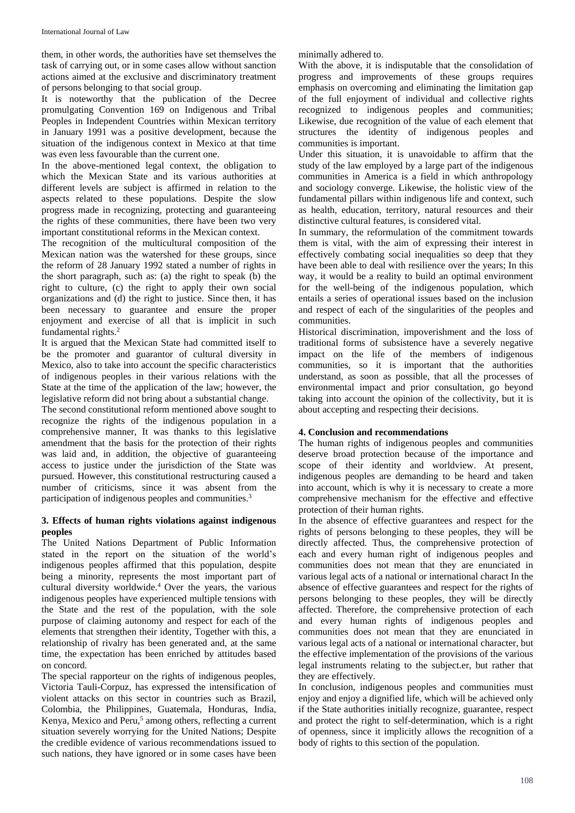them, in other words, the authorities have set themselves the task of carrying out, or in some cases allow without sanction actions aimed at the exclusive and discriminatory treatment of persons belonging to that social group.

It is noteworthy that the publication of the Decree promulgating Convention 169 on Indigenous and Tribal Peoples in Independent Countries within Mexican territory in January 1991 was a positive development, because the situation of the indigenous context in Mexico at that time was even less favourable than the current one.

In the above-mentioned legal context, the obligation to which the Mexican State and its various authorities at different levels are subject is affirmed in relation to the aspects related to these populations. Despite the slow progress made in recognizing, protecting and guaranteeing the rights of these communities, there have been two very important constitutional reforms in the Mexican context.

The recognition of the multicultural composition of the Mexican nation was the watershed for these groups, since the reform of 28 January 1992 stated a number of rights in the short paragraph, such as: (a) the right to speak (b) the right to culture, (c) the right to apply their own social organizations and (d) the right to justice. Since then, it has been necessary to guarantee and ensure the proper enjoyment and exercise of all that is implicit in such fundamental rights.<sup>2</sup>

It is argued that the Mexican State had committed itself to be the promoter and guarantor of cultural diversity in Mexico, also to take into account the specific characteristics of indigenous peoples in their various relations with the State at the time of the application of the law; however, the legislative reform did not bring about a substantial change.

The second constitutional reform mentioned above sought to recognize the rights of the indigenous population in a comprehensive manner, It was thanks to this legislative amendment that the basis for the protection of their rights was laid and, in addition, the objective of guaranteeing access to justice under the jurisdiction of the State was pursued. However, this constitutional restructuring caused a number of criticisms, since it was absent from the participation of indigenous peoples and communities.<sup>3</sup>

### **3. Effects of human rights violations against indigenous peoples**

The United Nations Department of Public Information stated in the report on the situation of the world's indigenous peoples affirmed that this population, despite being a minority, represents the most important part of cultural diversity worldwide.<sup>4</sup> Over the years, the various indigenous peoples have experienced multiple tensions with the State and the rest of the population, with the sole purpose of claiming autonomy and respect for each of the elements that strengthen their identity, Together with this, a relationship of rivalry has been generated and, at the same time, the expectation has been enriched by attitudes based on concord.

The special rapporteur on the rights of indigenous peoples, Victoria Tauli-Corpuz, has expressed the intensification of violent attacks on this sector in countries such as Brazil, Colombia, the Philippines, Guatemala, Honduras, India, Kenya, Mexico and Peru,<sup>5</sup> among others, reflecting a current situation severely worrying for the United Nations; Despite the credible evidence of various recommendations issued to such nations, they have ignored or in some cases have been

minimally adhered to.

With the above, it is indisputable that the consolidation of progress and improvements of these groups requires emphasis on overcoming and eliminating the limitation gap of the full enjoyment of individual and collective rights recognized to indigenous peoples and communities; Likewise, due recognition of the value of each element that structures the identity of indigenous peoples and communities is important.

Under this situation, it is unavoidable to affirm that the study of the law employed by a large part of the indigenous communities in America is a field in which anthropology and sociology converge. Likewise, the holistic view of the fundamental pillars within indigenous life and context, such as health, education, territory, natural resources and their distinctive cultural features, is considered vital.

In summary, the reformulation of the commitment towards them is vital, with the aim of expressing their interest in effectively combating social inequalities so deep that they have been able to deal with resilience over the years; In this way, it would be a reality to build an optimal environment for the well-being of the indigenous population, which entails a series of operational issues based on the inclusion and respect of each of the singularities of the peoples and communities.

Historical discrimination, impoverishment and the loss of traditional forms of subsistence have a severely negative impact on the life of the members of indigenous communities, so it is important that the authorities understand, as soon as possible, that all the processes of environmental impact and prior consultation, go beyond taking into account the opinion of the collectivity, but it is about accepting and respecting their decisions.

# **4. Conclusion and recommendations**

The human rights of indigenous peoples and communities deserve broad protection because of the importance and scope of their identity and worldview. At present, indigenous peoples are demanding to be heard and taken into account, which is why it is necessary to create a more comprehensive mechanism for the effective and effective protection of their human rights.

In the absence of effective guarantees and respect for the rights of persons belonging to these peoples, they will be directly affected. Thus, the comprehensive protection of each and every human right of indigenous peoples and communities does not mean that they are enunciated in various legal acts of a national or international charact In the absence of effective guarantees and respect for the rights of persons belonging to these peoples, they will be directly affected. Therefore, the comprehensive protection of each and every human rights of indigenous peoples and communities does not mean that they are enunciated in various legal acts of a national or international character, but the effective implementation of the provisions of the various legal instruments relating to the subject.er, but rather that they are effectively.

In conclusion, indigenous peoples and communities must enjoy and enjoy a dignified life, which will be achieved only if the State authorities initially recognize, guarantee, respect and protect the right to self-determination, which is a right of openness, since it implicitly allows the recognition of a body of rights to this section of the population.